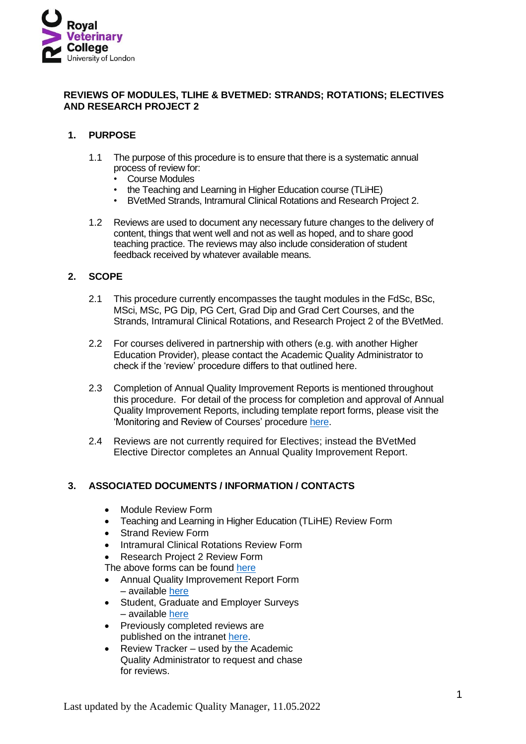

## **REVIEWS OF MODULES, TLIHE & BVETMED: STRANDS; ROTATIONS; ELECTIVES AND RESEARCH PROJECT 2**

## **1. PURPOSE**

- 1.1 The purpose of this procedure is to ensure that there is a systematic annual process of review for:
	- Course Modules
	- the Teaching and Learning in Higher Education course (TLiHE)
	- BVetMed Strands, Intramural Clinical Rotations and Research Project 2.
- 1.2 Reviews are used to document any necessary future changes to the delivery of content, things that went well and not as well as hoped, and to share good teaching practice. The reviews may also include consideration of student feedback received by whatever available means.

## **2. SCOPE**

- 2.1 This procedure currently encompasses the taught modules in the FdSc, BSc, MSci, MSc, PG Dip, PG Cert, Grad Dip and Grad Cert Courses, and the Strands, Intramural Clinical Rotations, and Research Project 2 of the BVetMed.
- 2.2 For courses delivered in partnership with others (e.g. with another Higher Education Provider), please contact the Academic Quality Administrator to check if the 'review' procedure differs to that outlined here.
- 2.3 Completion of Annual Quality Improvement Reports is mentioned throughout this procedure. For detail of the process for completion and approval of Annual Quality Improvement Reports, including template report forms, please visit the 'Monitoring and Review of Courses' procedure [here.](https://www.rvc.ac.uk/about/the-rvc/academic-quality-regulations-procedures/monitoring-and-review-of-courses)
- 2.4 Reviews are not currently required for Electives; instead the BVetMed Elective Director completes an Annual Quality Improvement Report.

## **3. ASSOCIATED DOCUMENTS / INFORMATION / CONTACTS**

- Module Review Form
- Teaching and Learning in Higher Education (TLiHE) Review Form
- Strand Review Form
- Intramural Clinical Rotations Review Form
- Research Project 2 Review Form
- The above forms can be found [here](https://www.rvc.ac.uk/about/the-rvc/academic-quality-regulations-procedures/module-and-strand-review)
- Annual Quality Improvement Report Form – available [here](https://www.rvc.ac.uk/about/the-rvc/academic-quality-regulations-procedures/monitoring-and-review-of-courses)
- Student, Graduate and Employer Surveys – available [here](https://www.rvc.ac.uk/Media/Default/About/Academic%20Quality,%20Regulations%20and%20Procedures/Academic%20Quality%20Assurance%20and%20Enhancement%20Procedures/AQAEP_STUDENT%20GRADUATE%20AND%20EMPLOYER%20EVALUATION%20SURVEYS_09022021.pdf)
- Previously completed reviews are published on the intranet [here.](https://intranet.rvc.ac.uk/professional-services/academic-registry/academic-quality/module-strand-reviews.cfm)
- Review Tracker used by the Academic Quality Administrator to request and chase for reviews.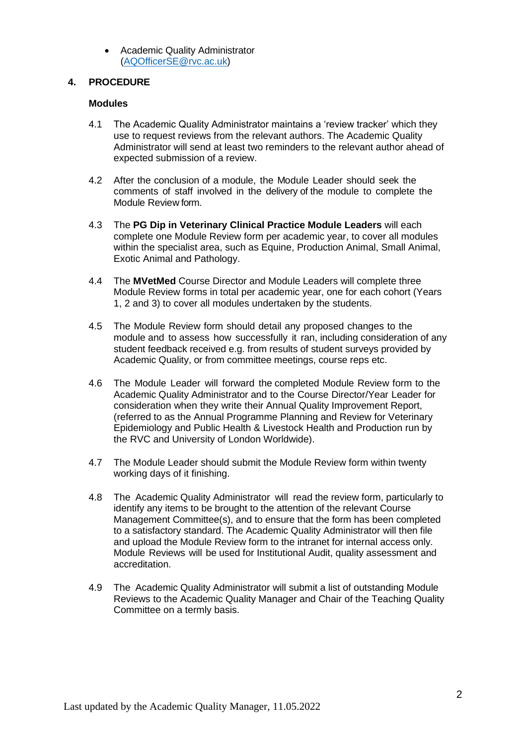• Academic Quality Administrator [\(AQOfficerSE@rvc.ac.uk\)](mailto:AQOfficerSE@rvc.ac.uk)

### **4. PROCEDURE**

#### **Modules**

- 4.1 The Academic Quality Administrator maintains a 'review tracker' which they use to request reviews from the relevant authors. The Academic Quality Administrator will send at least two reminders to the relevant author ahead of expected submission of a review.
- 4.2 After the conclusion of a module, the Module Leader should seek the comments of staff involved in the delivery of the module to complete the Module Review form.
- 4.3 The **PG Dip in Veterinary Clinical Practice Module Leaders** will each complete one Module Review form per academic year, to cover all modules within the specialist area, such as Equine, Production Animal, Small Animal, Exotic Animal and Pathology.
- 4.4 The **MVetMed** Course Director and Module Leaders will complete three Module Review forms in total per academic year, one for each cohort (Years 1, 2 and 3) to cover all modules undertaken by the students.
- 4.5 The Module Review form should detail any proposed changes to the module and to assess how successfully it ran, including consideration of any student feedback received e.g. from results of student surveys provided by Academic Quality, or from committee meetings, course reps etc.
- 4.6 The Module Leader will forward the completed Module Review form to the Academic Quality Administrator and to the Course Director/Year Leader for consideration when they write their Annual Quality Improvement Report, (referred to as the Annual Programme Planning and Review for Veterinary Epidemiology and Public Health & Livestock Health and Production run by the RVC and University of London Worldwide).
- 4.7 The Module Leader should submit the Module Review form within twenty working days of it finishing.
- 4.8 The Academic Quality Administrator will read the review form, particularly to identify any items to be brought to the attention of the relevant Course Management Committee(s), and to ensure that the form has been completed to a satisfactory standard. The Academic Quality Administrator will then file and upload the Module Review form to the intranet for internal access only. Module Reviews will be used for Institutional Audit, quality assessment and accreditation.
- 4.9 The Academic Quality Administrator will submit a list of outstanding Module Reviews to the Academic Quality Manager and Chair of the Teaching Quality Committee on a termly basis.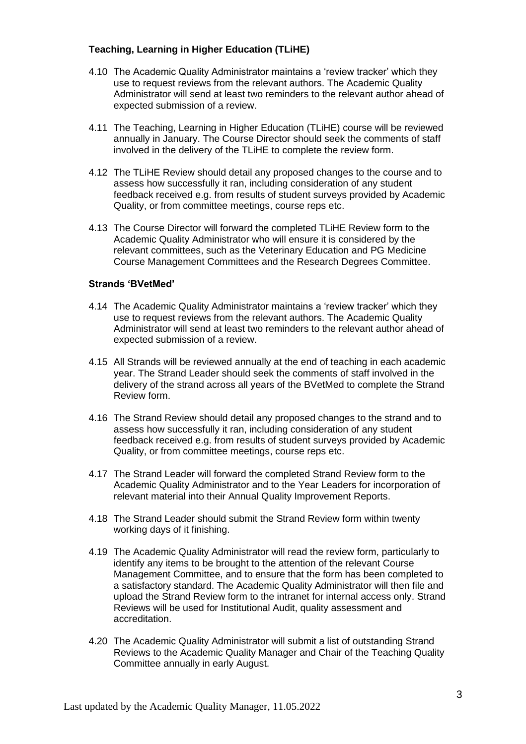# **Teaching, Learning in Higher Education (TLiHE)**

- 4.10 The Academic Quality Administrator maintains a 'review tracker' which they use to request reviews from the relevant authors. The Academic Quality Administrator will send at least two reminders to the relevant author ahead of expected submission of a review.
- 4.11 The Teaching, Learning in Higher Education (TLiHE) course will be reviewed annually in January. The Course Director should seek the comments of staff involved in the delivery of the TLiHE to complete the review form.
- 4.12 The TLiHE Review should detail any proposed changes to the course and to assess how successfully it ran, including consideration of any student feedback received e.g. from results of student surveys provided by Academic Quality, or from committee meetings, course reps etc.
- 4.13 The Course Director will forward the completed TLiHE Review form to the Academic Quality Administrator who will ensure it is considered by the relevant committees, such as the Veterinary Education and PG Medicine Course Management Committees and the Research Degrees Committee.

#### **Strands 'BVetMed'**

- 4.14 The Academic Quality Administrator maintains a 'review tracker' which they use to request reviews from the relevant authors. The Academic Quality Administrator will send at least two reminders to the relevant author ahead of expected submission of a review.
- 4.15 All Strands will be reviewed annually at the end of teaching in each academic year. The Strand Leader should seek the comments of staff involved in the delivery of the strand across all years of the BVetMed to complete the Strand Review form.
- 4.16 The Strand Review should detail any proposed changes to the strand and to assess how successfully it ran, including consideration of any student feedback received e.g. from results of student surveys provided by Academic Quality, or from committee meetings, course reps etc.
- 4.17 The Strand Leader will forward the completed Strand Review form to the Academic Quality Administrator and to the Year Leaders for incorporation of relevant material into their Annual Quality Improvement Reports.
- 4.18 The Strand Leader should submit the Strand Review form within twenty working days of it finishing.
- 4.19 The Academic Quality Administrator will read the review form, particularly to identify any items to be brought to the attention of the relevant Course Management Committee, and to ensure that the form has been completed to a satisfactory standard. The Academic Quality Administrator will then file and upload the Strand Review form to the intranet for internal access only. Strand Reviews will be used for Institutional Audit, quality assessment and accreditation.
- 4.20 The Academic Quality Administrator will submit a list of outstanding Strand Reviews to the Academic Quality Manager and Chair of the Teaching Quality Committee annually in early August.